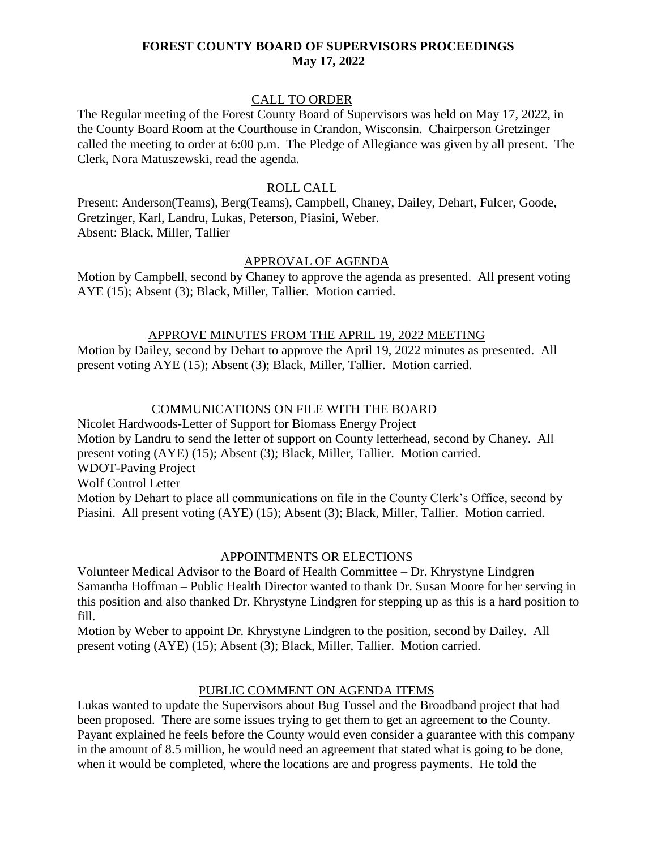## **FOREST COUNTY BOARD OF SUPERVISORS PROCEEDINGS May 17, 2022**

## CALL TO ORDER

The Regular meeting of the Forest County Board of Supervisors was held on May 17, 2022, in the County Board Room at the Courthouse in Crandon, Wisconsin. Chairperson Gretzinger called the meeting to order at 6:00 p.m. The Pledge of Allegiance was given by all present. The Clerk, Nora Matuszewski, read the agenda.

### ROLL CALL

Present: Anderson(Teams), Berg(Teams), Campbell, Chaney, Dailey, Dehart, Fulcer, Goode, Gretzinger, Karl, Landru, Lukas, Peterson, Piasini, Weber. Absent: Black, Miller, Tallier

#### APPROVAL OF AGENDA

Motion by Campbell, second by Chaney to approve the agenda as presented. All present voting AYE (15); Absent (3); Black, Miller, Tallier. Motion carried.

#### APPROVE MINUTES FROM THE APRIL 19, 2022 MEETING

Motion by Dailey, second by Dehart to approve the April 19, 2022 minutes as presented. All present voting AYE (15); Absent (3); Black, Miller, Tallier. Motion carried.

## COMMUNICATIONS ON FILE WITH THE BOARD

Nicolet Hardwoods-Letter of Support for Biomass Energy Project Motion by Landru to send the letter of support on County letterhead, second by Chaney. All present voting (AYE) (15); Absent (3); Black, Miller, Tallier. Motion carried. WDOT-Paving Project Wolf Control Letter Motion by Dehart to place all communications on file in the County Clerk's Office, second by Piasini. All present voting (AYE) (15); Absent (3); Black, Miller, Tallier. Motion carried.

# APPOINTMENTS OR ELECTIONS

Volunteer Medical Advisor to the Board of Health Committee – Dr. Khrystyne Lindgren Samantha Hoffman – Public Health Director wanted to thank Dr. Susan Moore for her serving in this position and also thanked Dr. Khrystyne Lindgren for stepping up as this is a hard position to fill.

Motion by Weber to appoint Dr. Khrystyne Lindgren to the position, second by Dailey. All present voting (AYE) (15); Absent (3); Black, Miller, Tallier. Motion carried.

## PUBLIC COMMENT ON AGENDA ITEMS

Lukas wanted to update the Supervisors about Bug Tussel and the Broadband project that had been proposed. There are some issues trying to get them to get an agreement to the County. Payant explained he feels before the County would even consider a guarantee with this company in the amount of 8.5 million, he would need an agreement that stated what is going to be done, when it would be completed, where the locations are and progress payments. He told the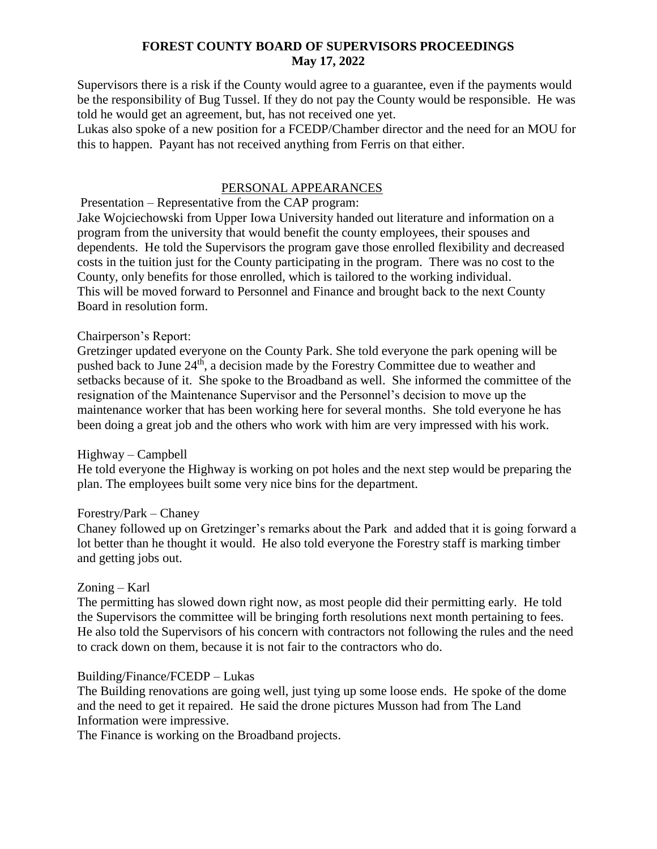## **FOREST COUNTY BOARD OF SUPERVISORS PROCEEDINGS May 17, 2022**

Supervisors there is a risk if the County would agree to a guarantee, even if the payments would be the responsibility of Bug Tussel. If they do not pay the County would be responsible. He was told he would get an agreement, but, has not received one yet.

Lukas also spoke of a new position for a FCEDP/Chamber director and the need for an MOU for this to happen. Payant has not received anything from Ferris on that either.

## PERSONAL APPEARANCES

Presentation – Representative from the CAP program:

Jake Wojciechowski from Upper Iowa University handed out literature and information on a program from the university that would benefit the county employees, their spouses and dependents. He told the Supervisors the program gave those enrolled flexibility and decreased costs in the tuition just for the County participating in the program. There was no cost to the County, only benefits for those enrolled, which is tailored to the working individual. This will be moved forward to Personnel and Finance and brought back to the next County Board in resolution form.

## Chairperson's Report:

Gretzinger updated everyone on the County Park. She told everyone the park opening will be pushed back to June 24<sup>th</sup>, a decision made by the Forestry Committee due to weather and setbacks because of it. She spoke to the Broadband as well. She informed the committee of the resignation of the Maintenance Supervisor and the Personnel's decision to move up the maintenance worker that has been working here for several months. She told everyone he has been doing a great job and the others who work with him are very impressed with his work.

#### Highway – Campbell

He told everyone the Highway is working on pot holes and the next step would be preparing the plan. The employees built some very nice bins for the department.

#### Forestry/Park – Chaney

Chaney followed up on Gretzinger's remarks about the Park and added that it is going forward a lot better than he thought it would. He also told everyone the Forestry staff is marking timber and getting jobs out.

## Zoning – Karl

The permitting has slowed down right now, as most people did their permitting early. He told the Supervisors the committee will be bringing forth resolutions next month pertaining to fees. He also told the Supervisors of his concern with contractors not following the rules and the need to crack down on them, because it is not fair to the contractors who do.

#### Building/Finance/FCEDP – Lukas

The Building renovations are going well, just tying up some loose ends. He spoke of the dome and the need to get it repaired. He said the drone pictures Musson had from The Land Information were impressive.

The Finance is working on the Broadband projects.